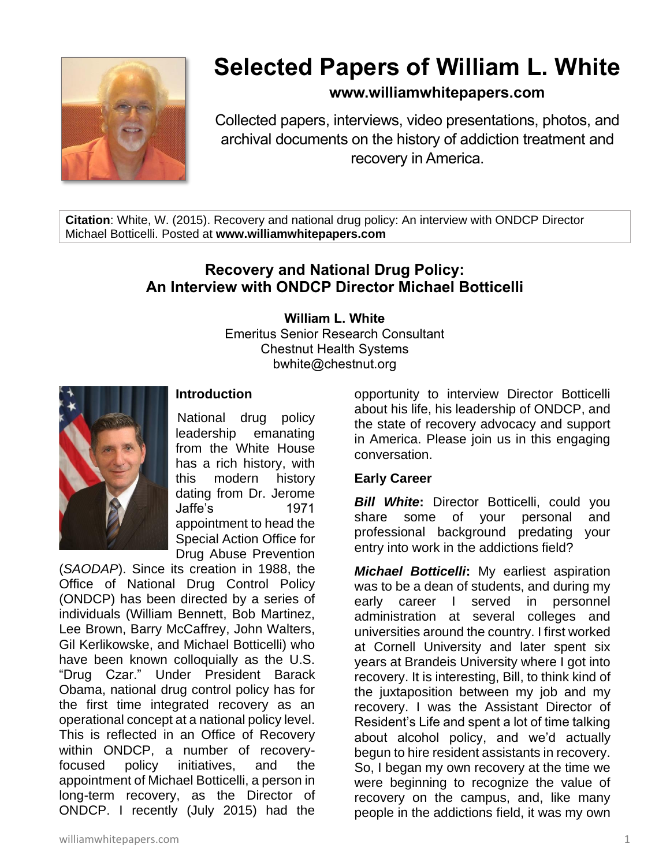

# **Selected Papers of William L. White**

## **www.williamwhitepapers.com**

Collected papers, interviews, video presentations, photos, and archival documents on the history of addiction treatment and recovery in America.

**Citation**: White, W. (2015). Recovery and national drug policy: An interview with ONDCP Director Michael Botticelli. Posted at **www.williamwhitepapers.com**

# **Recovery and National Drug Policy: An Interview with ONDCP Director Michael Botticelli**

**William L. White**

Emeritus Senior Research Consultant Chestnut Health Systems bwhite@chestnut.org



### **Introduction**

National drug policy leadership emanating from the White House has a rich history, with this modern history dating from Dr. Jerome Jaffe's 1971 appointment to head the Special Action Office for Drug Abuse Prevention

(*SAODAP*). Since its creation in 1988, the Office of National Drug Control Policy (ONDCP) has been directed by a series of individuals (William Bennett, Bob Martinez, Lee Brown, Barry McCaffrey, John Walters, Gil Kerlikowske, and Michael Botticelli) who have been known colloquially as the U.S. "Drug Czar." Under President Barack Obama, national drug control policy has for the first time integrated recovery as an operational concept at a national policy level. This is reflected in an Office of Recovery within ONDCP, a number of recoveryfocused policy initiatives, and the appointment of Michael Botticelli, a person in long-term recovery, as the Director of ONDCP. I recently (July 2015) had the

opportunity to interview Director Botticelli about his life, his leadership of ONDCP, and the state of recovery advocacy and support in America. Please join us in this engaging conversation.

### **Early Career**

**Bill White:** Director Botticelli, could you share some of your personal and professional background predating your entry into work in the addictions field?

*Michael Botticelli***:** My earliest aspiration was to be a dean of students, and during my early career I served in personnel administration at several colleges and universities around the country. I first worked at Cornell University and later spent six years at Brandeis University where I got into recovery. It is interesting, Bill, to think kind of the juxtaposition between my job and my recovery. I was the Assistant Director of Resident's Life and spent a lot of time talking about alcohol policy, and we'd actually begun to hire resident assistants in recovery. So, I began my own recovery at the time we were beginning to recognize the value of recovery on the campus, and, like many people in the addictions field, it was my own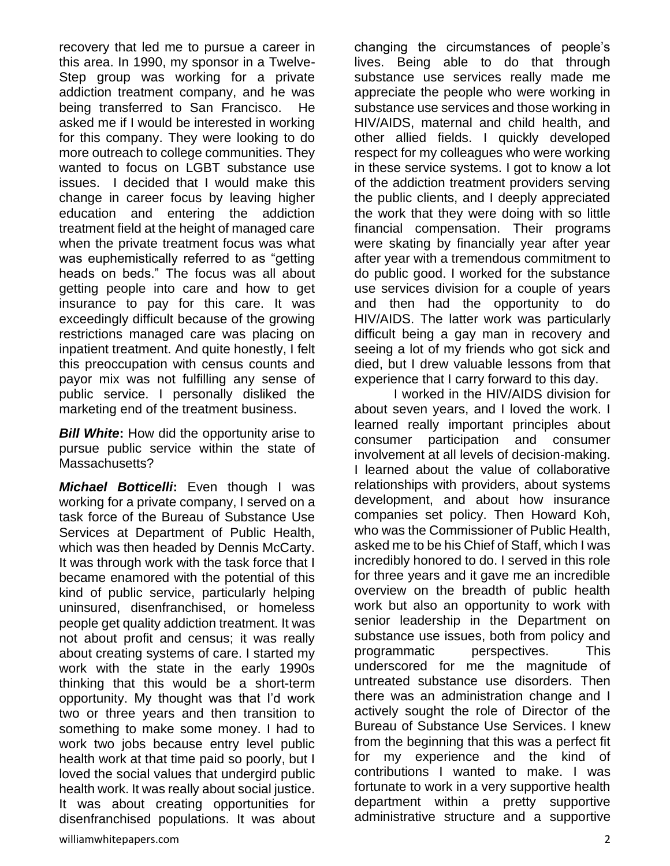recovery that led me to pursue a career in this area. In 1990, my sponsor in a Twelve-Step group was working for a private addiction treatment company, and he was being transferred to San Francisco. He asked me if I would be interested in working for this company. They were looking to do more outreach to college communities. They wanted to focus on LGBT substance use issues. I decided that I would make this change in career focus by leaving higher education and entering the addiction treatment field at the height of managed care when the private treatment focus was what was euphemistically referred to as "getting heads on beds." The focus was all about getting people into care and how to get insurance to pay for this care. It was exceedingly difficult because of the growing restrictions managed care was placing on inpatient treatment. And quite honestly, I felt this preoccupation with census counts and payor mix was not fulfilling any sense of public service. I personally disliked the marketing end of the treatment business.

**Bill White:** How did the opportunity arise to pursue public service within the state of Massachusetts?

*Michael Botticelli***:** Even though I was working for a private company, I served on a task force of the Bureau of Substance Use Services at Department of Public Health, which was then headed by Dennis McCarty. It was through work with the task force that I became enamored with the potential of this kind of public service, particularly helping uninsured, disenfranchised, or homeless people get quality addiction treatment. It was not about profit and census; it was really about creating systems of care. I started my work with the state in the early 1990s thinking that this would be a short-term opportunity. My thought was that I'd work two or three years and then transition to something to make some money. I had to work two jobs because entry level public health work at that time paid so poorly, but I loved the social values that undergird public health work. It was really about social justice. It was about creating opportunities for disenfranchised populations. It was about changing the circumstances of people's lives. Being able to do that through substance use services really made me appreciate the people who were working in substance use services and those working in HIV/AIDS, maternal and child health, and other allied fields. I quickly developed respect for my colleagues who were working in these service systems. I got to know a lot of the addiction treatment providers serving the public clients, and I deeply appreciated the work that they were doing with so little financial compensation. Their programs were skating by financially year after year after year with a tremendous commitment to do public good. I worked for the substance use services division for a couple of years and then had the opportunity to do HIV/AIDS. The latter work was particularly difficult being a gay man in recovery and seeing a lot of my friends who got sick and died, but I drew valuable lessons from that experience that I carry forward to this day.

I worked in the HIV/AIDS division for about seven years, and I loved the work. I learned really important principles about consumer participation and consumer involvement at all levels of decision-making. I learned about the value of collaborative relationships with providers, about systems development, and about how insurance companies set policy. Then Howard Koh, who was the Commissioner of Public Health, asked me to be his Chief of Staff, which I was incredibly honored to do. I served in this role for three years and it gave me an incredible overview on the breadth of public health work but also an opportunity to work with senior leadership in the Department on substance use issues, both from policy and programmatic perspectives. This underscored for me the magnitude of untreated substance use disorders. Then there was an administration change and I actively sought the role of Director of the Bureau of Substance Use Services. I knew from the beginning that this was a perfect fit for my experience and the kind of contributions I wanted to make. I was fortunate to work in a very supportive health department within a pretty supportive administrative structure and a supportive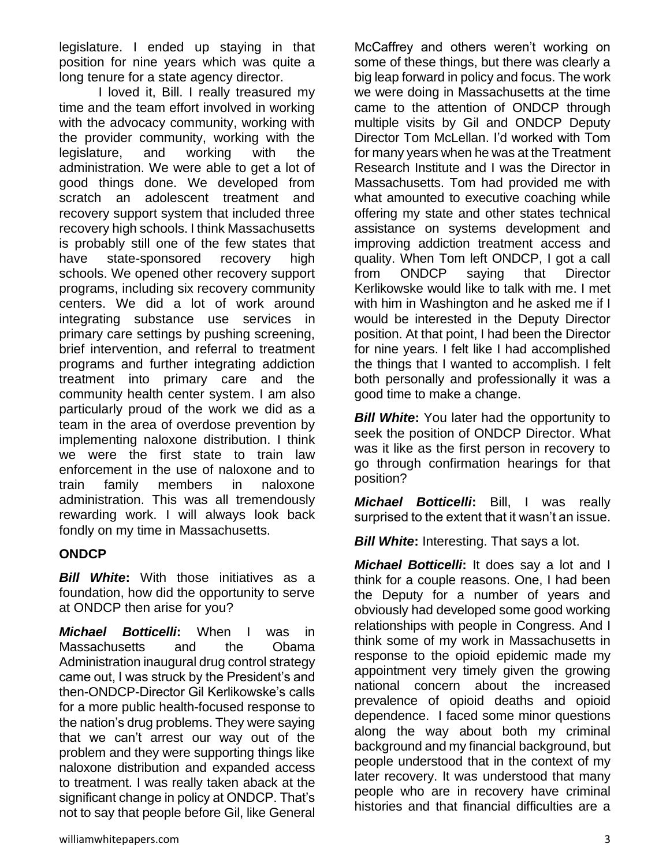legislature. I ended up staying in that position for nine years which was quite a long tenure for a state agency director.

I loved it, Bill. I really treasured my time and the team effort involved in working with the advocacy community, working with the provider community, working with the legislature, and working with the administration. We were able to get a lot of good things done. We developed from scratch an adolescent treatment and recovery support system that included three recovery high schools. I think Massachusetts is probably still one of the few states that have state-sponsored recovery high schools. We opened other recovery support programs, including six recovery community centers. We did a lot of work around integrating substance use services in primary care settings by pushing screening, brief intervention, and referral to treatment programs and further integrating addiction treatment into primary care and the community health center system. I am also particularly proud of the work we did as a team in the area of overdose prevention by implementing naloxone distribution. I think we were the first state to train law enforcement in the use of naloxone and to train family members in naloxone administration. This was all tremendously rewarding work. I will always look back fondly on my time in Massachusetts.

### **ONDCP**

*Bill White***:** With those initiatives as a foundation, how did the opportunity to serve at ONDCP then arise for you?

*Michael Botticelli***:** When I was in Massachusetts and the Obama Administration inaugural drug control strategy came out, I was struck by the President's and then-ONDCP-Director Gil Kerlikowske's calls for a more public health-focused response to the nation's drug problems. They were saying that we can't arrest our way out of the problem and they were supporting things like naloxone distribution and expanded access to treatment. I was really taken aback at the significant change in policy at ONDCP. That's not to say that people before Gil, like General McCaffrey and others weren't working on some of these things, but there was clearly a big leap forward in policy and focus. The work we were doing in Massachusetts at the time came to the attention of ONDCP through multiple visits by Gil and ONDCP Deputy Director Tom McLellan. I'd worked with Tom for many years when he was at the Treatment Research Institute and I was the Director in Massachusetts. Tom had provided me with what amounted to executive coaching while offering my state and other states technical assistance on systems development and improving addiction treatment access and quality. When Tom left ONDCP, I got a call from ONDCP saying that Director Kerlikowske would like to talk with me. I met with him in Washington and he asked me if I would be interested in the Deputy Director position. At that point, I had been the Director for nine years. I felt like I had accomplished the things that I wanted to accomplish. I felt both personally and professionally it was a good time to make a change.

*Bill White:* You later had the opportunity to seek the position of ONDCP Director. What was it like as the first person in recovery to go through confirmation hearings for that position?

*Michael Botticelli***:** Bill, I was really surprised to the extent that it wasn't an issue.

**Bill White:** Interesting. That says a lot.

*Michael Botticelli***:** It does say a lot and I think for a couple reasons. One, I had been the Deputy for a number of years and obviously had developed some good working relationships with people in Congress. And I think some of my work in Massachusetts in response to the opioid epidemic made my appointment very timely given the growing national concern about the increased prevalence of opioid deaths and opioid dependence. I faced some minor questions along the way about both my criminal background and my financial background, but people understood that in the context of my later recovery. It was understood that many people who are in recovery have criminal histories and that financial difficulties are a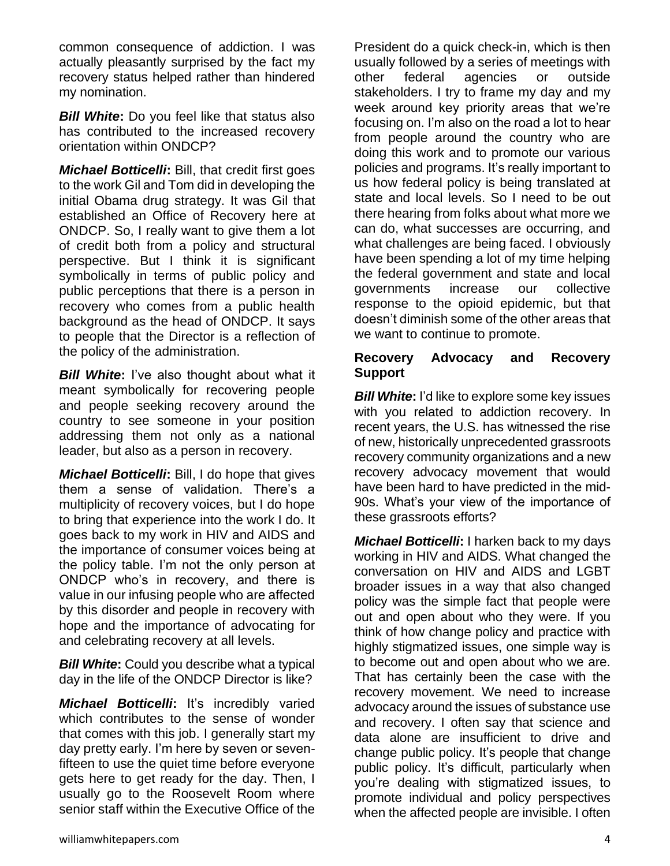common consequence of addiction. I was actually pleasantly surprised by the fact my recovery status helped rather than hindered my nomination.

*Bill White***:** Do you feel like that status also has contributed to the increased recovery orientation within ONDCP?

*Michael Botticelli***:** Bill, that credit first goes to the work Gil and Tom did in developing the initial Obama drug strategy. It was Gil that established an Office of Recovery here at ONDCP. So, I really want to give them a lot of credit both from a policy and structural perspective. But I think it is significant symbolically in terms of public policy and public perceptions that there is a person in recovery who comes from a public health background as the head of ONDCP. It says to people that the Director is a reflection of the policy of the administration.

*Bill White***:** I've also thought about what it meant symbolically for recovering people and people seeking recovery around the country to see someone in your position addressing them not only as a national leader, but also as a person in recovery.

*Michael Botticelli***:** Bill, I do hope that gives them a sense of validation. There's a multiplicity of recovery voices, but I do hope to bring that experience into the work I do. It goes back to my work in HIV and AIDS and the importance of consumer voices being at the policy table. I'm not the only person at ONDCP who's in recovery, and there is value in our infusing people who are affected by this disorder and people in recovery with hope and the importance of advocating for and celebrating recovery at all levels.

*Bill White***:** Could you describe what a typical day in the life of the ONDCP Director is like?

*Michael Botticelli***:** It's incredibly varied which contributes to the sense of wonder that comes with this job. I generally start my day pretty early. I'm here by seven or sevenfifteen to use the quiet time before everyone gets here to get ready for the day. Then, I usually go to the Roosevelt Room where senior staff within the Executive Office of the

President do a quick check-in, which is then usually followed by a series of meetings with other federal agencies or outside stakeholders. I try to frame my day and my week around key priority areas that we're focusing on. I'm also on the road a lot to hear from people around the country who are doing this work and to promote our various policies and programs. It's really important to us how federal policy is being translated at state and local levels. So I need to be out there hearing from folks about what more we can do, what successes are occurring, and what challenges are being faced. I obviously have been spending a lot of my time helping the federal government and state and local governments increase our collective response to the opioid epidemic, but that doesn't diminish some of the other areas that we want to continue to promote.

#### **Recovery Advocacy and Recovery Support**

*Bill White***:** I'd like to explore some key issues with you related to addiction recovery. In recent years, the U.S. has witnessed the rise of new, historically unprecedented grassroots recovery community organizations and a new recovery advocacy movement that would have been hard to have predicted in the mid-90s. What's your view of the importance of these grassroots efforts?

*Michael Botticelli***:** I harken back to my days working in HIV and AIDS. What changed the conversation on HIV and AIDS and LGBT broader issues in a way that also changed policy was the simple fact that people were out and open about who they were. If you think of how change policy and practice with highly stigmatized issues, one simple way is to become out and open about who we are. That has certainly been the case with the recovery movement. We need to increase advocacy around the issues of substance use and recovery. I often say that science and data alone are insufficient to drive and change public policy. It's people that change public policy. It's difficult, particularly when you're dealing with stigmatized issues, to promote individual and policy perspectives when the affected people are invisible. I often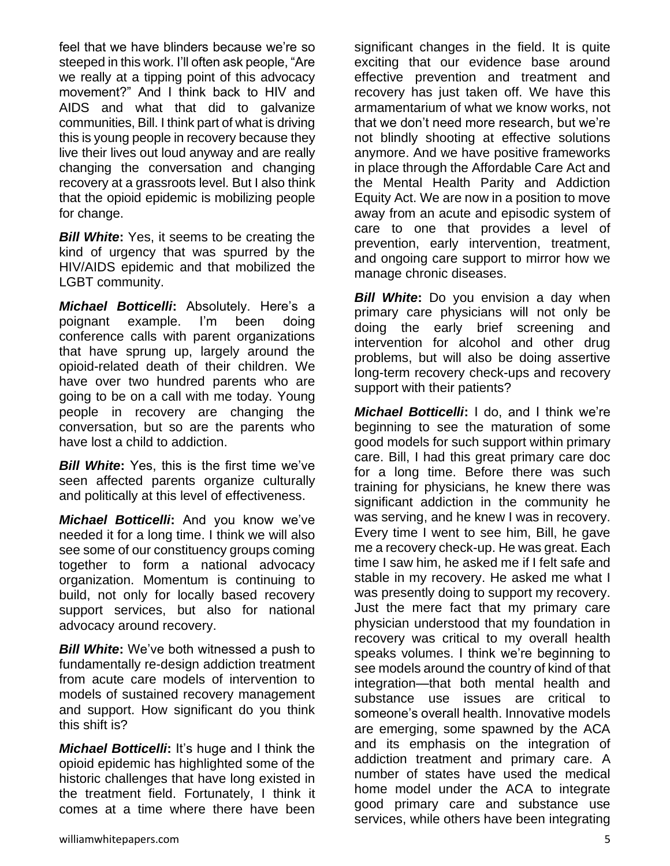feel that we have blinders because we're so steeped in this work. I'll often ask people, "Are we really at a tipping point of this advocacy movement?" And I think back to HIV and AIDS and what that did to galvanize communities, Bill. I think part of what is driving this is young people in recovery because they live their lives out loud anyway and are really changing the conversation and changing recovery at a grassroots level. But I also think that the opioid epidemic is mobilizing people for change.

*Bill White:* Yes, it seems to be creating the kind of urgency that was spurred by the HIV/AIDS epidemic and that mobilized the LGBT community.

*Michael Botticelli***:** Absolutely. Here's a poignant example. I'm been doing conference calls with parent organizations that have sprung up, largely around the opioid-related death of their children. We have over two hundred parents who are going to be on a call with me today. Young people in recovery are changing the conversation, but so are the parents who have lost a child to addiction.

*Bill White***:** Yes, this is the first time we've seen affected parents organize culturally and politically at this level of effectiveness.

*Michael Botticelli***:** And you know we've needed it for a long time. I think we will also see some of our constituency groups coming together to form a national advocacy organization. Momentum is continuing to build, not only for locally based recovery support services, but also for national advocacy around recovery.

*Bill White***:** We've both witnessed a push to fundamentally re-design addiction treatment from acute care models of intervention to models of sustained recovery management and support. How significant do you think this shift is?

*Michael Botticelli***:** It's huge and I think the opioid epidemic has highlighted some of the historic challenges that have long existed in the treatment field. Fortunately, I think it comes at a time where there have been significant changes in the field. It is quite exciting that our evidence base around effective prevention and treatment and recovery has just taken off. We have this armamentarium of what we know works, not that we don't need more research, but we're not blindly shooting at effective solutions anymore. And we have positive frameworks in place through the Affordable Care Act and the Mental Health Parity and Addiction Equity Act. We are now in a position to move away from an acute and episodic system of care to one that provides a level of prevention, early intervention, treatment, and ongoing care support to mirror how we manage chronic diseases.

*Bill White*: Do you envision a day when primary care physicians will not only be doing the early brief screening and intervention for alcohol and other drug problems, but will also be doing assertive long-term recovery check-ups and recovery support with their patients?

*Michael Botticelli***:** I do, and I think we're beginning to see the maturation of some good models for such support within primary care. Bill, I had this great primary care doc for a long time. Before there was such training for physicians, he knew there was significant addiction in the community he was serving, and he knew I was in recovery. Every time I went to see him, Bill, he gave me a recovery check-up. He was great. Each time I saw him, he asked me if I felt safe and stable in my recovery. He asked me what I was presently doing to support my recovery. Just the mere fact that my primary care physician understood that my foundation in recovery was critical to my overall health speaks volumes. I think we're beginning to see models around the country of kind of that integration—that both mental health and substance use issues are critical to someone's overall health. Innovative models are emerging, some spawned by the ACA and its emphasis on the integration of addiction treatment and primary care. A number of states have used the medical home model under the ACA to integrate good primary care and substance use services, while others have been integrating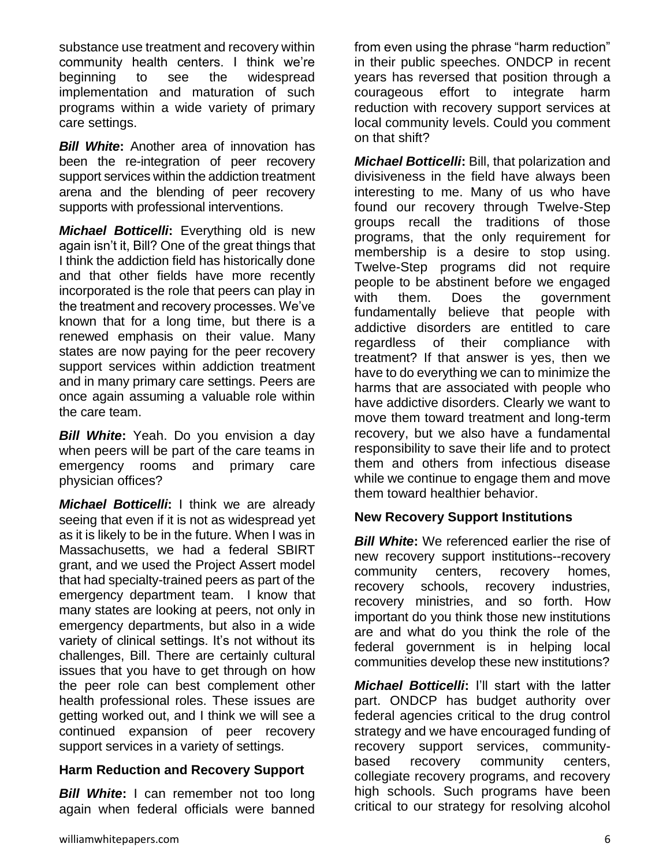substance use treatment and recovery within community health centers. I think we're beginning to see the widespread implementation and maturation of such programs within a wide variety of primary care settings.

*Bill White***:** Another area of innovation has been the re-integration of peer recovery support services within the addiction treatment arena and the blending of peer recovery supports with professional interventions.

*Michael Botticelli***:** Everything old is new again isn't it, Bill? One of the great things that I think the addiction field has historically done and that other fields have more recently incorporated is the role that peers can play in the treatment and recovery processes. We've known that for a long time, but there is a renewed emphasis on their value. Many states are now paying for the peer recovery support services within addiction treatment and in many primary care settings. Peers are once again assuming a valuable role within the care team.

*Bill White***:** Yeah. Do you envision a day when peers will be part of the care teams in emergency rooms and primary care physician offices?

*Michael Botticelli***:** I think we are already seeing that even if it is not as widespread yet as it is likely to be in the future. When I was in Massachusetts, we had a federal SBIRT grant, and we used the Project Assert model that had specialty-trained peers as part of the emergency department team. I know that many states are looking at peers, not only in emergency departments, but also in a wide variety of clinical settings. It's not without its challenges, Bill. There are certainly cultural issues that you have to get through on how the peer role can best complement other health professional roles. These issues are getting worked out, and I think we will see a continued expansion of peer recovery support services in a variety of settings.

### **Harm Reduction and Recovery Support**

**Bill White:** I can remember not too long again when federal officials were banned from even using the phrase "harm reduction" in their public speeches. ONDCP in recent years has reversed that position through a courageous effort to integrate harm reduction with recovery support services at local community levels. Could you comment on that shift?

*Michael Botticelli***:** Bill, that polarization and divisiveness in the field have always been interesting to me. Many of us who have found our recovery through Twelve-Step groups recall the traditions of those programs, that the only requirement for membership is a desire to stop using. Twelve-Step programs did not require people to be abstinent before we engaged with them. Does the government fundamentally believe that people with addictive disorders are entitled to care regardless of their compliance with treatment? If that answer is yes, then we have to do everything we can to minimize the harms that are associated with people who have addictive disorders. Clearly we want to move them toward treatment and long-term recovery, but we also have a fundamental responsibility to save their life and to protect them and others from infectious disease while we continue to engage them and move them toward healthier behavior.

### **New Recovery Support Institutions**

**Bill White:** We referenced earlier the rise of new recovery support institutions--recovery community centers, recovery homes, recovery schools, recovery industries, recovery ministries, and so forth. How important do you think those new institutions are and what do you think the role of the federal government is in helping local communities develop these new institutions?

*Michael Botticelli***:** I'll start with the latter part. ONDCP has budget authority over federal agencies critical to the drug control strategy and we have encouraged funding of recovery support services, communitybased recovery community centers, collegiate recovery programs, and recovery high schools. Such programs have been critical to our strategy for resolving alcohol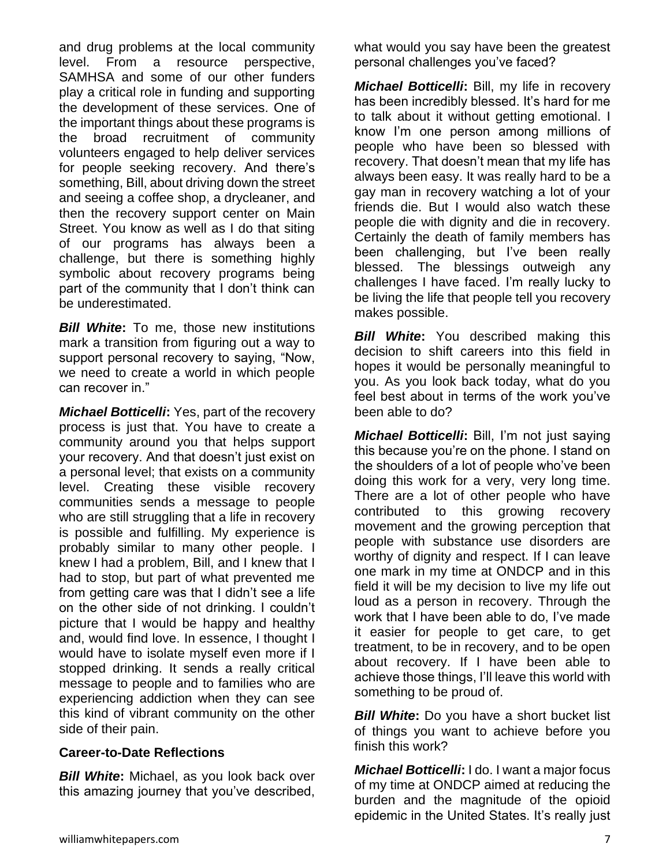and drug problems at the local community level. From a resource perspective, SAMHSA and some of our other funders play a critical role in funding and supporting the development of these services. One of the important things about these programs is the broad recruitment of community volunteers engaged to help deliver services for people seeking recovery. And there's something, Bill, about driving down the street and seeing a coffee shop, a drycleaner, and then the recovery support center on Main Street. You know as well as I do that siting of our programs has always been a challenge, but there is something highly symbolic about recovery programs being part of the community that I don't think can be underestimated.

*Bill White***:** To me, those new institutions mark a transition from figuring out a way to support personal recovery to saying, "Now, we need to create a world in which people can recover in."

*Michael Botticelli***:** Yes, part of the recovery process is just that. You have to create a community around you that helps support your recovery. And that doesn't just exist on a personal level; that exists on a community level. Creating these visible recovery communities sends a message to people who are still struggling that a life in recovery is possible and fulfilling. My experience is probably similar to many other people. I knew I had a problem, Bill, and I knew that I had to stop, but part of what prevented me from getting care was that I didn't see a life on the other side of not drinking. I couldn't picture that I would be happy and healthy and, would find love. In essence, I thought I would have to isolate myself even more if I stopped drinking. It sends a really critical message to people and to families who are experiencing addiction when they can see this kind of vibrant community on the other side of their pain.

#### **Career-to-Date Reflections**

*Bill White***:** Michael, as you look back over this amazing journey that you've described, what would you say have been the greatest personal challenges you've faced?

*Michael Botticelli***:** Bill, my life in recovery has been incredibly blessed. It's hard for me to talk about it without getting emotional. I know I'm one person among millions of people who have been so blessed with recovery. That doesn't mean that my life has always been easy. It was really hard to be a gay man in recovery watching a lot of your friends die. But I would also watch these people die with dignity and die in recovery. Certainly the death of family members has been challenging, but I've been really blessed. The blessings outweigh any challenges I have faced. I'm really lucky to be living the life that people tell you recovery makes possible.

*Bill White***:** You described making this decision to shift careers into this field in hopes it would be personally meaningful to you. As you look back today, what do you feel best about in terms of the work you've been able to do?

*Michael Botticelli***:** Bill, I'm not just saying this because you're on the phone. I stand on the shoulders of a lot of people who've been doing this work for a very, very long time. There are a lot of other people who have contributed to this growing recovery movement and the growing perception that people with substance use disorders are worthy of dignity and respect. If I can leave one mark in my time at ONDCP and in this field it will be my decision to live my life out loud as a person in recovery. Through the work that I have been able to do, I've made it easier for people to get care, to get treatment, to be in recovery, and to be open about recovery. If I have been able to achieve those things, I'll leave this world with something to be proud of.

**Bill White:** Do you have a short bucket list of things you want to achieve before you finish this work?

*Michael Botticelli***:** I do. I want a major focus of my time at ONDCP aimed at reducing the burden and the magnitude of the opioid epidemic in the United States. It's really just